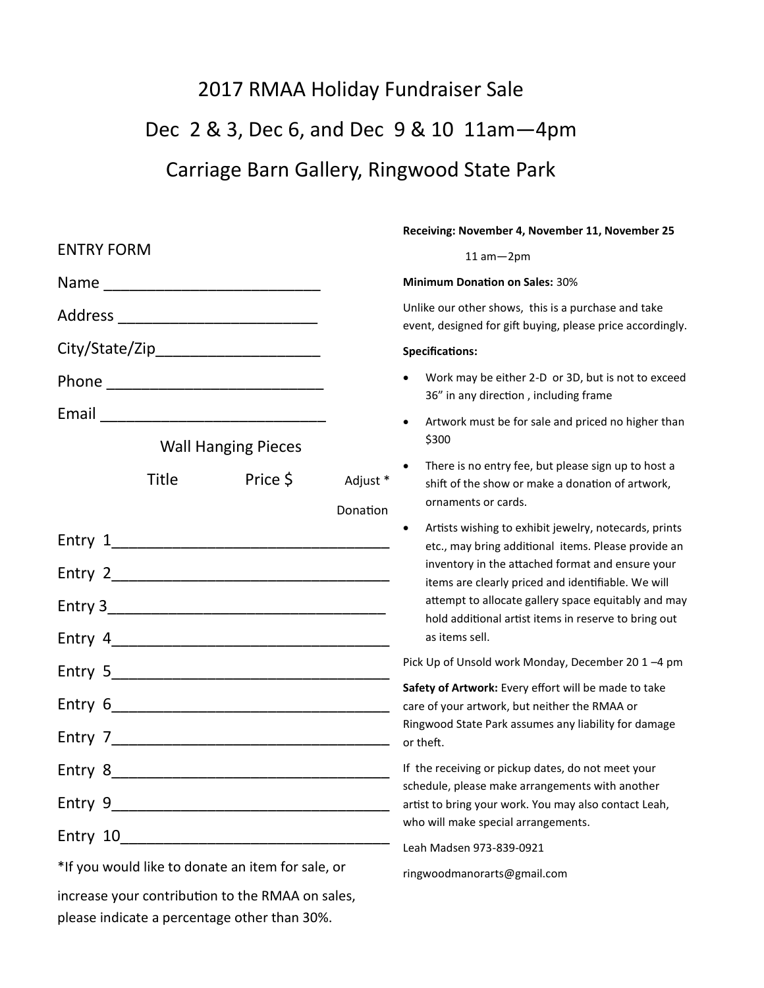## 2017 RMAA Holiday Fundraiser Sale Dec 2 & 3, Dec 6, and Dec 9 & 10 11am—4pm Carriage Barn Gallery, Ringwood State Park

## ENTRY FORM  $Name$ Address \_\_\_\_\_\_\_\_\_\_\_\_\_\_\_\_\_\_\_\_\_\_\_ City/State/Zip\_\_\_\_\_\_\_\_\_\_\_\_\_\_\_\_\_\_\_ Phone \_\_\_\_\_\_\_\_\_\_\_\_\_\_\_\_\_\_\_\_\_\_\_\_\_ Email \_\_\_\_\_\_\_\_\_\_\_\_\_\_\_\_\_\_\_\_\_\_\_\_\_\_ Wall Hanging Pieces Title Price \$ Adjust \* Donation Entry 1\_\_\_\_\_\_\_\_\_\_\_\_\_\_\_\_\_\_\_\_\_\_\_\_\_\_\_\_\_\_\_\_ Entry 2 Entry 3 Entry 4\_\_\_\_\_\_\_\_\_\_\_\_\_\_\_\_\_\_\_\_\_\_\_\_\_\_\_\_\_\_\_\_ Entry 5 Entry 6\_\_\_\_\_\_\_\_\_\_\_\_\_\_\_\_\_\_\_\_\_\_\_\_\_\_\_\_\_\_\_\_ Entry 7\_\_\_\_\_\_\_\_\_\_\_\_\_\_\_\_\_\_\_\_\_\_\_\_\_\_\_\_\_\_\_\_ Entry 8 Entry 9\_\_\_\_\_\_\_\_\_\_\_\_\_\_\_\_\_\_\_\_\_\_\_\_\_\_\_\_\_\_\_\_ Entry 10\_\_\_\_\_\_\_\_\_\_\_\_\_\_\_\_\_\_\_\_\_\_\_\_\_\_\_\_\_\_\_ \*If you would like to donate an item for sale, or increase your contribution to the RMAA on sales, **Receiving: November 4, November 11, November 25** 11 am—2pm **Minimum Donation on Sales:** 30% Unlike our other shows, this is a purchase and take event, designed for gift buying, please price accordingly. **Specifications:** • Work may be either 2-D or 3D, but is not to exceed 36" in any direction , including frame • Artwork must be for sale and priced no higher than \$300 There is no entry fee, but please sign up to host a shift of the show or make a donation of artwork, ornaments or cards. Artists wishing to exhibit jewelry, notecards, prints etc., may bring additional items. Please provide an inventory in the attached format and ensure your items are clearly priced and identifiable. We will attempt to allocate gallery space equitably and may hold additional artist items in reserve to bring out as items sell. Pick Up of Unsold work Monday, December 20 1 –4 pm **Safety of Artwork:** Every effort will be made to take care of your artwork, but neither the RMAA or Ringwood State Park assumes any liability for damage or theft. If the receiving or pickup dates, do not meet your schedule, please make arrangements with another artist to bring your work. You may also contact Leah, who will make special arrangements. Leah Madsen 973-839-0921 ringwoodmanorarts@gmail.com

please indicate a percentage other than 30%.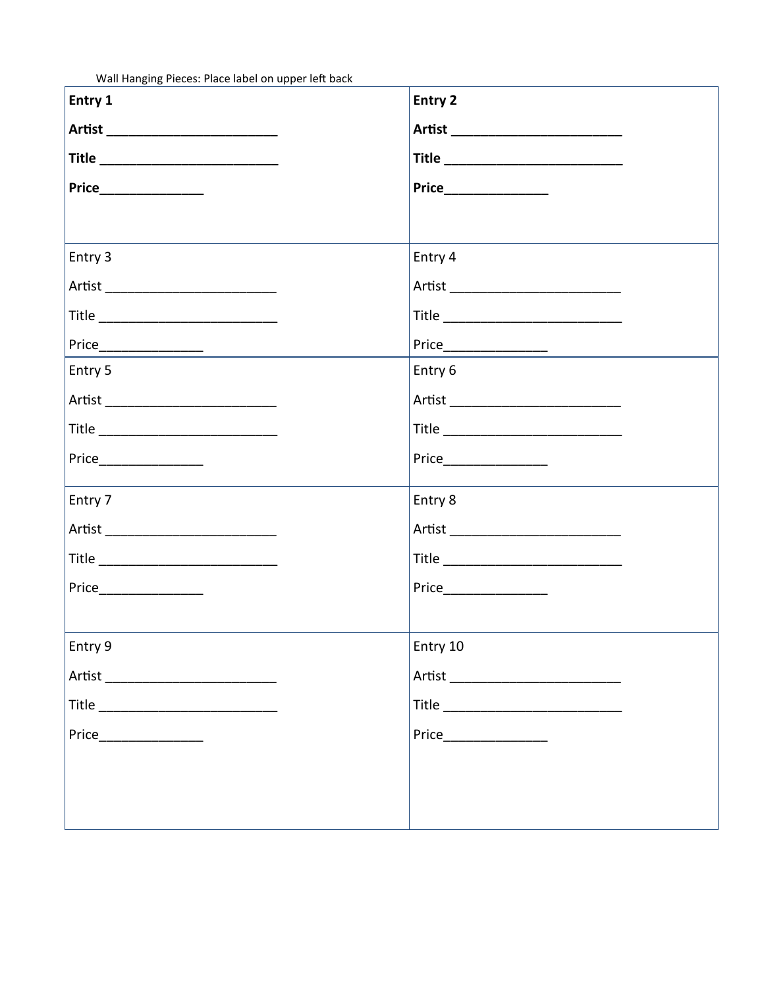Wall Hanging Pieces: Place label on upper left back

| Entry 1                                                                | Entry 2                                                                 |
|------------------------------------------------------------------------|-------------------------------------------------------------------------|
|                                                                        |                                                                         |
|                                                                        |                                                                         |
|                                                                        |                                                                         |
|                                                                        |                                                                         |
| Entry 3                                                                | Entry 4                                                                 |
| Artist _______________________________                                 | Artist _____________________________                                    |
|                                                                        |                                                                         |
| $\begin{tabular}{c} \color{blue}\text{Price} \color{red}\end{tabular}$ | $\begin{tabular}{c} \color{blue}\text{Price} \color{blue}\end{tabular}$ |
| Entry 5                                                                | Entry 6                                                                 |
|                                                                        |                                                                         |
|                                                                        |                                                                         |
| Price_______________                                                   |                                                                         |
| Entry 7                                                                | Entry 8                                                                 |
| Artist _____________________________                                   | Artist ____________________________                                     |
| Title _________________________________                                |                                                                         |
| Price_________________                                                 |                                                                         |
|                                                                        |                                                                         |
| Entry 9                                                                | Entry 10                                                                |
|                                                                        |                                                                         |
|                                                                        |                                                                         |
| Price                                                                  | Price                                                                   |
|                                                                        |                                                                         |
|                                                                        |                                                                         |
|                                                                        |                                                                         |